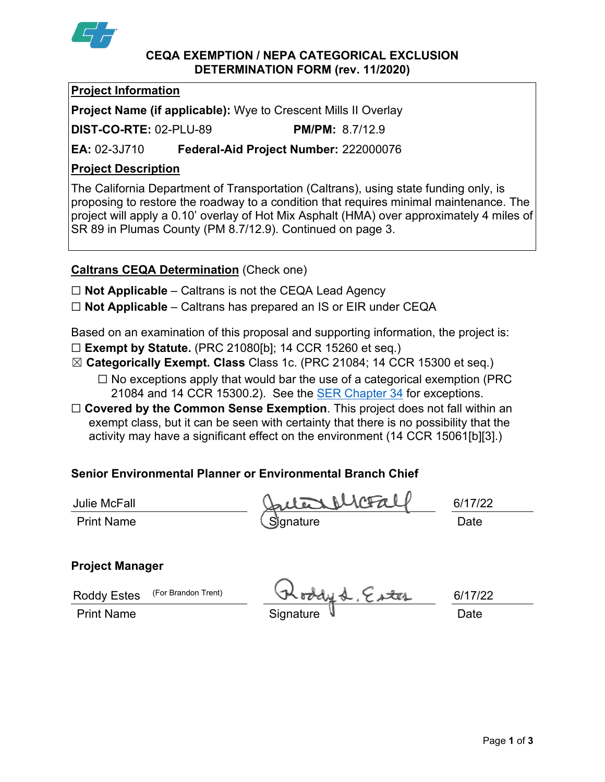

### **CEQA EXEMPTION / NEPA CATEGORICAL EXCLUSION DETERMINATION FORM (rev. 11/2020)**

## **Project Information**

**Project Name (if applicable):** Wye to Crescent Mills II Overlay

**DIST-CO-RTE:** 02-PLU-89 **PM/PM:** 8.7/12.9

**EA:** 02-3J710 **Federal-Aid Project Number:** 222000076

# **Project Description**

The California Department of Transportation (Caltrans), using state funding only, is proposing to restore the roadway to a condition that requires minimal maintenance. The project will apply a 0.10' overlay of Hot Mix Asphalt (HMA) over approximately 4 miles of SR 89 in Plumas County (PM 8.7/12.9). Continued on page 3.

## **Caltrans CEQA Determination** (Check one)

☐ **Not Applicable** – Caltrans is not the CEQA Lead Agency

☐ **Not Applicable** – Caltrans has prepared an IS or EIR under CEQA

Based on an examination of this proposal and supporting information, the project is:

- ☐ **Exempt by Statute.** (PRC 21080[b]; 14 CCR 15260 et seq.)
- ☒ **Categorically Exempt. Class** Class 1c. (PRC 21084; 14 CCR 15300 et seq.)
	- $\Box$  No exceptions apply that would bar the use of a categorical exemption (PRC) 21084 and 14 CCR 15300.2). See the [SER Chapter 34](https://dot.ca.gov/programs/environmental-analysis/standard-environmental-reference-ser/volume-1-guidance-for-compliance/ch-34-exemptions-to-ceqa#except) for exceptions.
- ☐ **Covered by the Common Sense Exemption**. This project does not fall within an exempt class, but it can be seen with certainty that there is no possibility that the activity may have a significant effect on the environment (14 CCR 15061[b][3].)

# **Senior Environmental Planner or Environmental Branch Chief**

| Julie McFall      | Julia McFall | 6/17/22 |
|-------------------|--------------|---------|
| <b>Print Name</b> | Signature    | Date    |

# **Project Manager**

| Roddy Estes (For Brandon Trent) | Roddy & Ester | 6/17/22     |      |
|---------------------------------|---------------|-------------|------|
| <b>Print Name</b>               |               | Signature V | Date |

Page **1** of **3**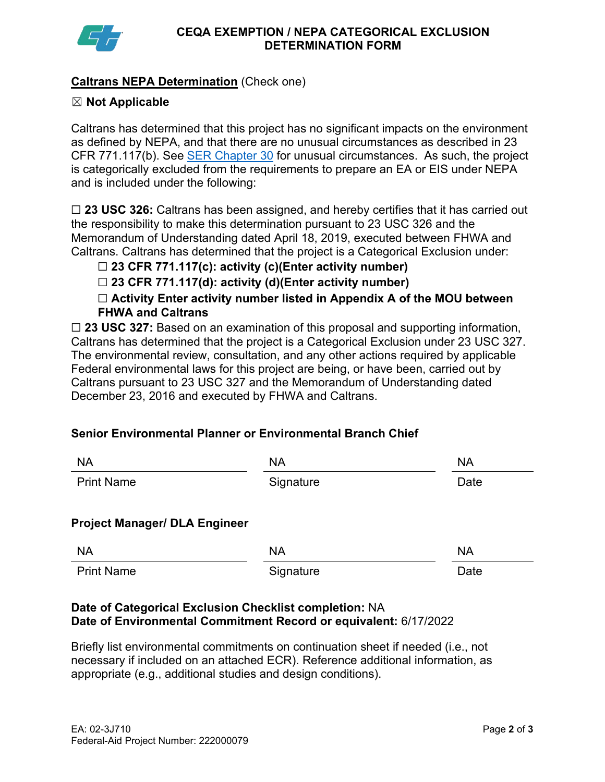

## **Caltrans NEPA Determination** (Check one)

### ☒ **Not Applicable**

Caltrans has determined that this project has no significant impacts on the environment as defined by NEPA, and that there are no unusual circumstances as described in 23 CFR 771.117(b). See [SER Chapter 30](https://dot.ca.gov/programs/environmental-analysis/standard-environmental-reference-ser/volume-1-guidance-for-compliance/ch-30-categorical-exclusions#exception) for unusual circumstances. As such, the project is categorically excluded from the requirements to prepare an EA or EIS under NEPA and is included under the following:

☐ **23 USC 326:** Caltrans has been assigned, and hereby certifies that it has carried out the responsibility to make this determination pursuant to 23 USC 326 and the Memorandum of Understanding dated April 18, 2019, executed between FHWA and Caltrans. Caltrans has determined that the project is a Categorical Exclusion under:

## ☐ **23 CFR 771.117(c): activity (c)(Enter activity number)**

☐ **23 CFR 771.117(d): activity (d)(Enter activity number)**

☐ **Activity Enter activity number listed in Appendix A of the MOU between FHWA and Caltrans**

□ 23 USC 327: Based on an examination of this proposal and supporting information, Caltrans has determined that the project is a Categorical Exclusion under 23 USC 327. The environmental review, consultation, and any other actions required by applicable Federal environmental laws for this project are being, or have been, carried out by Caltrans pursuant to 23 USC 327 and the Memorandum of Understanding dated December 23, 2016 and executed by FHWA and Caltrans.

### **Senior Environmental Planner or Environmental Branch Chief**

| <b>NA</b>                            | <b>NA</b> | <b>NA</b> |  |  |  |  |
|--------------------------------------|-----------|-----------|--|--|--|--|
| <b>Print Name</b>                    | Signature | Date      |  |  |  |  |
| <b>Project Manager/ DLA Engineer</b> |           |           |  |  |  |  |
| <b>NA</b>                            | <b>NA</b> | <b>NA</b> |  |  |  |  |
| <b>Print Name</b>                    | Signature | Date      |  |  |  |  |

### **Date of Categorical Exclusion Checklist completion:** NA **Date of Environmental Commitment Record or equivalent:** 6/17/2022

Briefly list environmental commitments on continuation sheet if needed (i.e., not necessary if included on an attached ECR). Reference additional information, as appropriate (e.g., additional studies and design conditions).